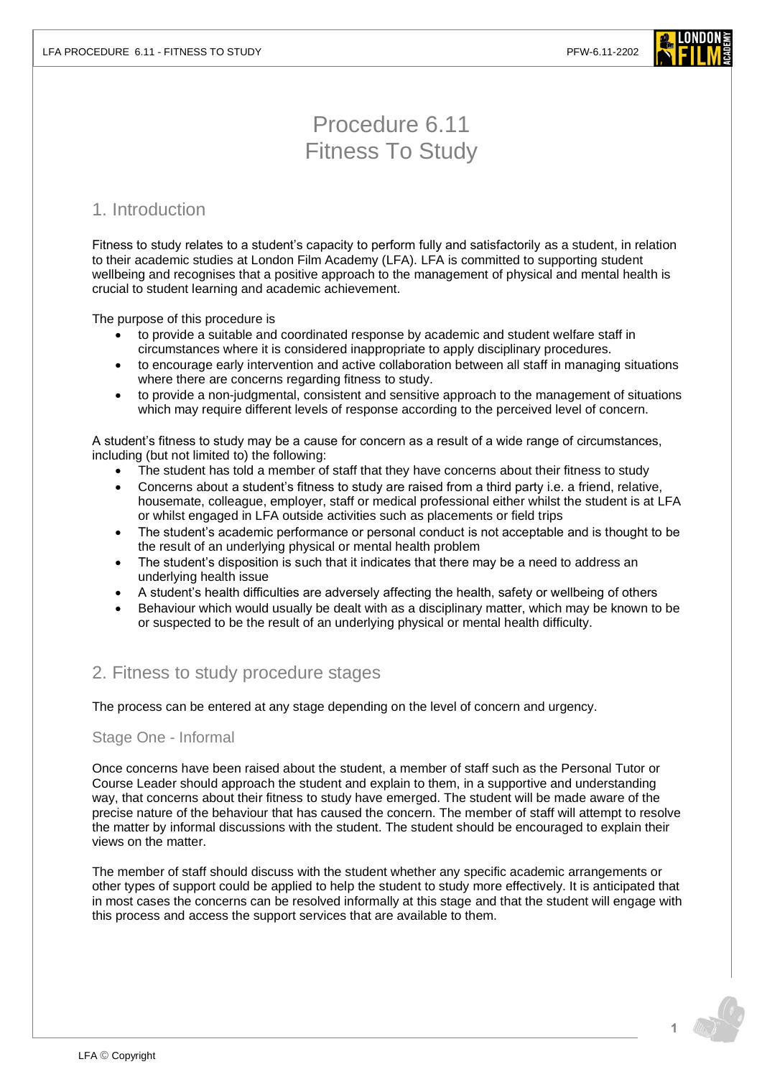

# Procedure 6.11 Fitness To Study

## 1. Introduction

Fitness to study relates to a student's capacity to perform fully and satisfactorily as a student, in relation to their academic studies at London Film Academy (LFA). LFA is committed to supporting student wellbeing and recognises that a positive approach to the management of physical and mental health is crucial to student learning and academic achievement.

The purpose of this procedure is

- to provide a suitable and coordinated response by academic and student welfare staff in circumstances where it is considered inappropriate to apply disciplinary procedures.
- to encourage early intervention and active collaboration between all staff in managing situations where there are concerns regarding fitness to study.
- to provide a non-judgmental, consistent and sensitive approach to the management of situations which may require different levels of response according to the perceived level of concern.

A student's fitness to study may be a cause for concern as a result of a wide range of circumstances, including (but not limited to) the following:

- The student has told a member of staff that they have concerns about their fitness to study
- Concerns about a student's fitness to study are raised from a third party i.e. a friend, relative, housemate, colleague, employer, staff or medical professional either whilst the student is at LFA or whilst engaged in LFA outside activities such as placements or field trips
- The student's academic performance or personal conduct is not acceptable and is thought to be the result of an underlying physical or mental health problem
- The student's disposition is such that it indicates that there may be a need to address an underlying health issue
- A student's health difficulties are adversely affecting the health, safety or wellbeing of others
- Behaviour which would usually be dealt with as a disciplinary matter, which may be known to be or suspected to be the result of an underlying physical or mental health difficulty.

## 2. Fitness to study procedure stages

The process can be entered at any stage depending on the level of concern and urgency.

#### Stage One - Informal

Once concerns have been raised about the student, a member of staff such as the Personal Tutor or Course Leader should approach the student and explain to them, in a supportive and understanding way, that concerns about their fitness to study have emerged. The student will be made aware of the precise nature of the behaviour that has caused the concern. The member of staff will attempt to resolve the matter by informal discussions with the student. The student should be encouraged to explain their views on the matter.

The member of staff should discuss with the student whether any specific academic arrangements or other types of support could be applied to help the student to study more effectively. It is anticipated that in most cases the concerns can be resolved informally at this stage and that the student will engage with this process and access the support services that are available to them.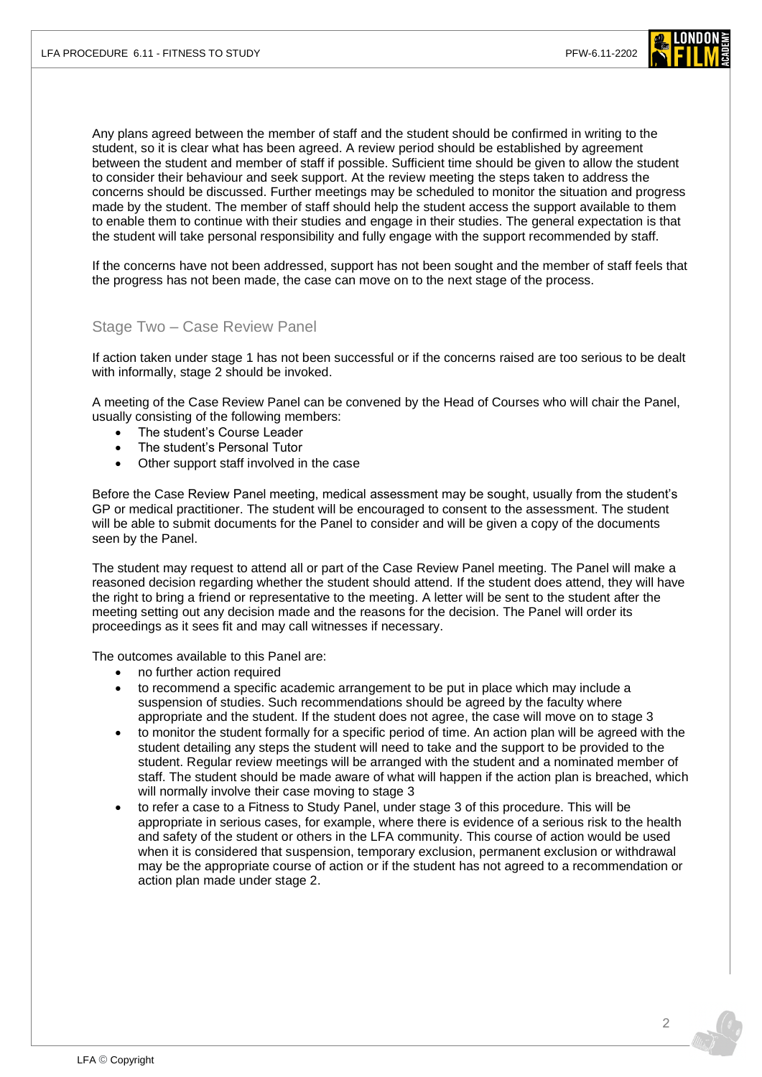

Any plans agreed between the member of staff and the student should be confirmed in writing to the student, so it is clear what has been agreed. A review period should be established by agreement between the student and member of staff if possible. Sufficient time should be given to allow the student to consider their behaviour and seek support. At the review meeting the steps taken to address the concerns should be discussed. Further meetings may be scheduled to monitor the situation and progress made by the student. The member of staff should help the student access the support available to them to enable them to continue with their studies and engage in their studies. The general expectation is that the student will take personal responsibility and fully engage with the support recommended by staff.

If the concerns have not been addressed, support has not been sought and the member of staff feels that the progress has not been made, the case can move on to the next stage of the process.

#### Stage Two – Case Review Panel

If action taken under stage 1 has not been successful or if the concerns raised are too serious to be dealt with informally, stage 2 should be invoked.

A meeting of the Case Review Panel can be convened by the Head of Courses who will chair the Panel, usually consisting of the following members:

- The student's Course Leader
- The student's Personal Tutor
- Other support staff involved in the case

Before the Case Review Panel meeting, medical assessment may be sought, usually from the student's GP or medical practitioner. The student will be encouraged to consent to the assessment. The student will be able to submit documents for the Panel to consider and will be given a copy of the documents seen by the Panel.

The student may request to attend all or part of the Case Review Panel meeting. The Panel will make a reasoned decision regarding whether the student should attend. If the student does attend, they will have the right to bring a friend or representative to the meeting. A letter will be sent to the student after the meeting setting out any decision made and the reasons for the decision. The Panel will order its proceedings as it sees fit and may call witnesses if necessary.

The outcomes available to this Panel are:

- no further action required
- to recommend a specific academic arrangement to be put in place which may include a suspension of studies. Such recommendations should be agreed by the faculty where appropriate and the student. If the student does not agree, the case will move on to stage 3
- to monitor the student formally for a specific period of time. An action plan will be agreed with the student detailing any steps the student will need to take and the support to be provided to the student. Regular review meetings will be arranged with the student and a nominated member of staff. The student should be made aware of what will happen if the action plan is breached, which will normally involve their case moving to stage 3
- to refer a case to a Fitness to Study Panel, under stage 3 of this procedure. This will be appropriate in serious cases, for example, where there is evidence of a serious risk to the health and safety of the student or others in the LFA community. This course of action would be used when it is considered that suspension, temporary exclusion, permanent exclusion or withdrawal may be the appropriate course of action or if the student has not agreed to a recommendation or action plan made under stage 2.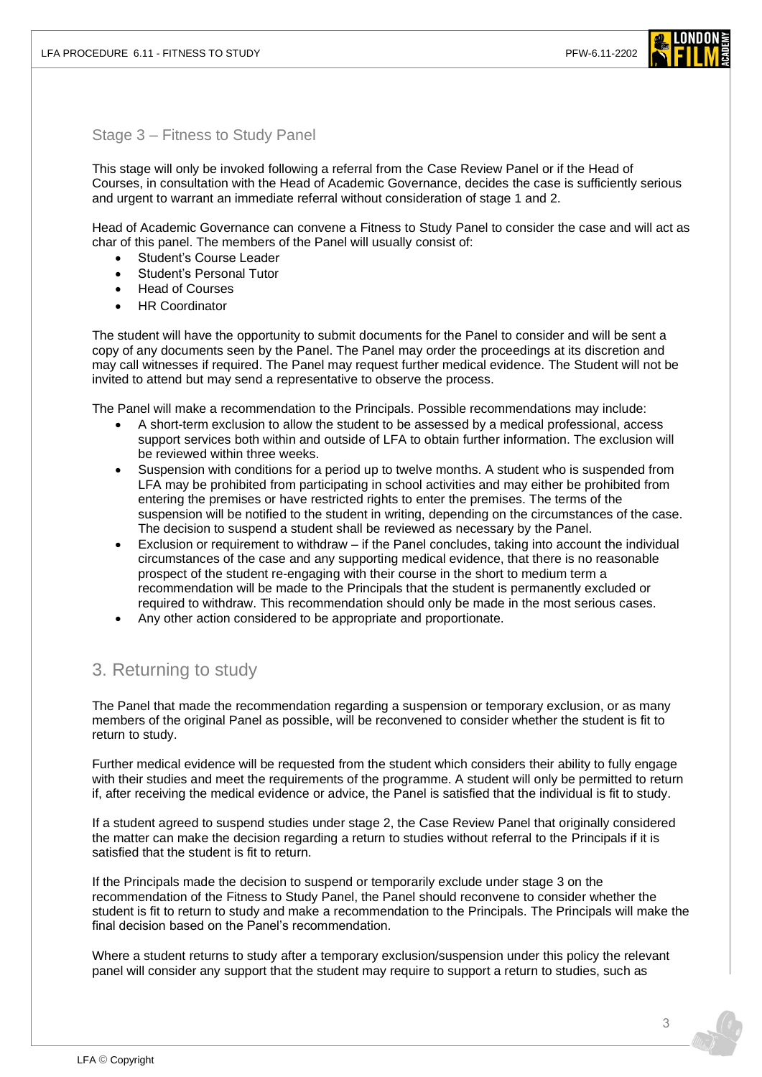

#### Stage 3 – Fitness to Study Panel

This stage will only be invoked following a referral from the Case Review Panel or if the Head of Courses, in consultation with the Head of Academic Governance, decides the case is sufficiently serious and urgent to warrant an immediate referral without consideration of stage 1 and 2.

Head of Academic Governance can convene a Fitness to Study Panel to consider the case and will act as char of this panel. The members of the Panel will usually consist of:

- Student's Course Leader
- Student's Personal Tutor
- Head of Courses
- HR Coordinator

The student will have the opportunity to submit documents for the Panel to consider and will be sent a copy of any documents seen by the Panel. The Panel may order the proceedings at its discretion and may call witnesses if required. The Panel may request further medical evidence. The Student will not be invited to attend but may send a representative to observe the process.

The Panel will make a recommendation to the Principals. Possible recommendations may include:

- A short-term exclusion to allow the student to be assessed by a medical professional, access support services both within and outside of LFA to obtain further information. The exclusion will be reviewed within three weeks.
- Suspension with conditions for a period up to twelve months. A student who is suspended from LFA may be prohibited from participating in school activities and may either be prohibited from entering the premises or have restricted rights to enter the premises. The terms of the suspension will be notified to the student in writing, depending on the circumstances of the case. The decision to suspend a student shall be reviewed as necessary by the Panel.
- Exclusion or requirement to withdraw if the Panel concludes, taking into account the individual circumstances of the case and any supporting medical evidence, that there is no reasonable prospect of the student re-engaging with their course in the short to medium term a recommendation will be made to the Principals that the student is permanently excluded or required to withdraw. This recommendation should only be made in the most serious cases.
- Any other action considered to be appropriate and proportionate.

## 3. Returning to study

The Panel that made the recommendation regarding a suspension or temporary exclusion, or as many members of the original Panel as possible, will be reconvened to consider whether the student is fit to return to study.

Further medical evidence will be requested from the student which considers their ability to fully engage with their studies and meet the requirements of the programme. A student will only be permitted to return if, after receiving the medical evidence or advice, the Panel is satisfied that the individual is fit to study.

If a student agreed to suspend studies under stage 2, the Case Review Panel that originally considered the matter can make the decision regarding a return to studies without referral to the Principals if it is satisfied that the student is fit to return.

If the Principals made the decision to suspend or temporarily exclude under stage 3 on the recommendation of the Fitness to Study Panel, the Panel should reconvene to consider whether the student is fit to return to study and make a recommendation to the Principals. The Principals will make the final decision based on the Panel's recommendation.

Where a student returns to study after a temporary exclusion/suspension under this policy the relevant panel will consider any support that the student may require to support a return to studies, such as